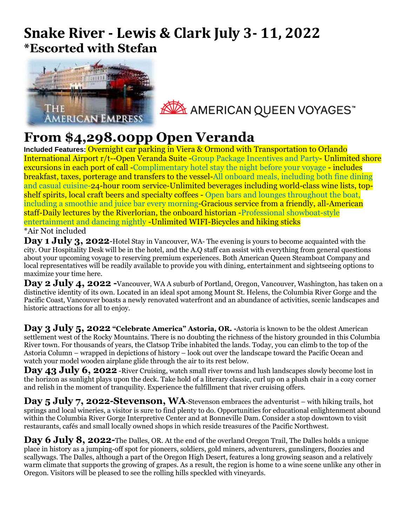## **Snake River - Lewis & Clark July 3- 11, 2022 \*Escorted with Stefan**



AMERICAN QUEEN VOYAGES

## **From \$4,298.00pp Open Veranda**

**Included Features:** Overnight car parking in Viera & Ormond with Transportation to Orlando International Airport r/t--Open Veranda Suite -Group Package Incentives and Party- Unlimited shore excursions in each port of call -Complimentary hotel stay the night before your voyage - includes breakfast, taxes, porterage and transfers to the vessel-All onboard meals, including both fine dining and casual cuisine-24-hour room service-Unlimited beverages including world-class wine lists, topshelf spirits, local craft beers and specialty coffees - Open bars and lounges throughout the boat, including a smoothie and juice bar every morning-Gracious service from a friendly, all-American staff-Daily lectures by the Riverlorian, the onboard historian -Professional showboat-style entertainment and dancing nightly -Unlimited WIFI-Bicycles and hiking sticks \*Air Not included

Day 1 July 3, 2022-Hotel Stay in Vancouver, WA-The evening is yours to become acquainted with the city. Our Hospitality Desk will be in the hotel, and the A.Q staff can assist with everything from general questions about your upcoming voyage to reserving premium experiences. Both American Queen Steamboat Company and local representatives will be readily available to provide you with dining, entertainment and sightseeing options to maximize your time here.

**Day 2 July 4, 2022 -**Vancouver, WA A suburb of Portland, Oregon, Vancouver, Washington, has taken on a distinctive identity of its own. Located in an ideal spot among Mount St. Helens, the Columbia River Gorge and the Pacific Coast, Vancouver boasts a newly renovated waterfront and an abundance of activities, scenic landscapes and historic attractions for all to enjoy.

**Day 3 July 5, 2022 "Celebrate America" Astoria, OR. -**Astoria is known to be the oldest American settlement west of the Rocky Mountains. There is no doubting the richness of the history grounded in this Columbia River town. For thousands of years, the Clatsop Tribe inhabited the lands. Today, you can climb to the top of the Astoria Column – wrapped in depictions of history – look out over the landscape toward the Pacific Ocean and watch your model wooden airplane glide through the air to its rest below.

**Day 43 July 6, 2022** -River Cruising, watch small river towns and lush landscapes slowly become lost in the horizon as sunlight plays upon the deck. Take hold of a literary classic, curl up on a plush chair in a cozy corner and relish in the moment of tranquility. Experience the fulfillment that river cruising offers.

**Day 5 July 7, 2022-Stevenson, WA**-Stevenson embraces the adventurist – with hiking trails, hot springs and local wineries, a visitor is sure to find plenty to do. Opportunities for educational enlightenment abound within the Columbia River Gorge Interpretive Center and at Bonneville Dam. Consider a stop downtown to visit restaurants, cafés and small locally owned shops in which reside treasures of the Pacific Northwest.

**Day 6 July 8, 2022-**The Dalles, OR. At the end of the overland Oregon Trail, The Dalles holds a unique place in history as a jumping-off spot for pioneers, soldiers, gold miners, adventurers, gunslingers, floozies and scallywags. The Dalles, although a part of the Oregon High Desert, features a long growing season and a relatively warm climate that supports the growing of grapes. As a result, the region is home to a wine scene unlike any other in Oregon. Visitors will be pleased to see the rolling hills speckled with vineyards.